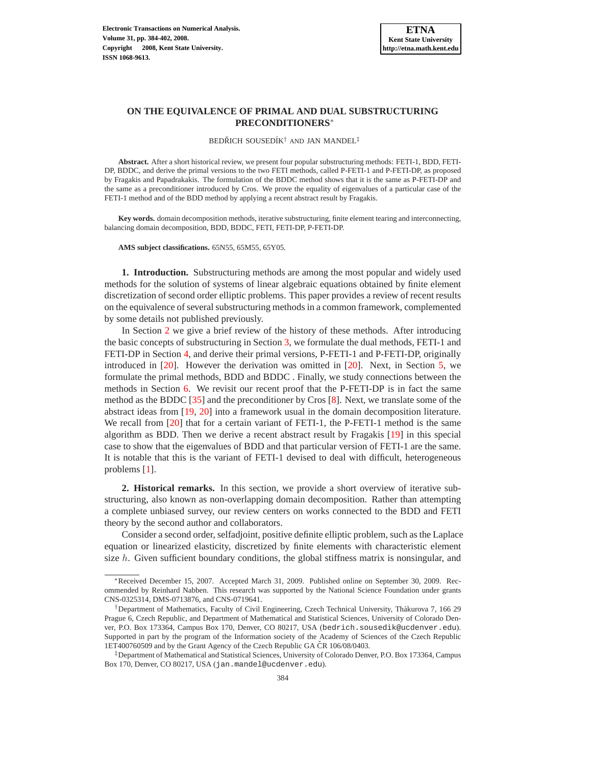BEDŘICH SOUSEDÍK<sup>†</sup> AND JAN MANDEL<sup>‡</sup>

**Abstract.** After a short historical review, we present four popular substructuring methods: FETI-1, BDD, FETI-DP, BDDC, and derive the primal versions to the two FETI methods, called P-FETI-1 and P-FETI-DP, as proposed by Fragakis and Papadrakakis. The formulation of the BDDC method shows that it is the same as P-FETI-DP and the same as a preconditioner introduced by Cros. We prove the equality of eigenvalues of a particular case of the FETI-1 method and of the BDD method by applying a recent abstract result by Fragakis.

**Key words.** domain decomposition methods, iterative substructuring, finite element tearing and interconnecting, balancing domain decomposition, BDD, BDDC, FETI, FETI-DP, P-FETI-DP.

**AMS subject classifications.** 65N55, 65M55, 65Y05.

**1. Introduction.** Substructuring methods are among the most popular and widely used methods for the solution of systems of linear algebraic equations obtained by finite element discretization of second order elliptic problems. This paper provides a review of recent results on the equivalence of several substructuring methods in a common framework, complemented by some details not published previously.

In Section [2](#page-0-0) we give a brief review of the history of these methods. After introducing the basic concepts of substructuring in Section [3,](#page-4-0) we formulate the dual methods, FETI-1 and FETI-DP in Section [4,](#page-6-0) and derive their primal versions, P-FETI-1 and P-FETI-DP, originally introduced in [\[20\]](#page-17-0). However the derivation was omitted in [\[20\]](#page-17-0). Next, in Section [5,](#page-10-0) we formulate the primal methods, BDD and BDDC . Finally, we study connections between the methods in Section [6.](#page-11-0) We revisit our recent proof that the P-FETI-DP is in fact the same method as the BDDC [\[35\]](#page-18-0) and the preconditioner by Cros [\[8\]](#page-17-1). Next, we translate some of the abstract ideas from [\[19,](#page-17-2) [20\]](#page-17-0) into a framework usual in the domain decomposition literature. We recall from [\[20\]](#page-17-0) that for a certain variant of FETI-1, the P-FETI-1 method is the same algorithm as BDD. Then we derive a recent abstract result by Fragakis [\[19\]](#page-17-2) in this special case to show that the eigenvalues of BDD and that particular version of FETI-1 are the same. It is notable that this is the variant of FETI-1 devised to deal with difficult, heterogeneous problems [\[1\]](#page-16-0).

<span id="page-0-0"></span>**2. Historical remarks.** In this section, we provide a short overview of iterative substructuring, also known as non-overlapping domain decomposition. Rather than attempting a complete unbiased survey, our review centers on works connected to the BDD and FETI theory by the second author and collaborators.

Consider a second order, selfadjoint, positive definite elliptic problem, such as the Laplace equation or linearized elasticity, discretized by finite elements with characteristic element size  $h$ . Given sufficient boundary conditions, the global stiffness matrix is nonsingular, and

<sup>∗</sup>Received December 15, 2007. Accepted March 31, 2009. Published online on September 30, 2009. Recommended by Reinhard Nabben. This research was supported by the National Science Foundation under grants CNS-0325314, DMS-0713876, and CNS-0719641.

<sup>†</sup>Department of Mathematics, Faculty of Civil Engineering, Czech Technical University, Thakurova 7, 166 29 ´ Prague 6, Czech Republic, and Department of Mathematical and Statistical Sciences, University of Colorado Denver, P.O. Box 173364, Campus Box 170, Denver, CO 80217, USA (bedrich.sousedik@ucdenver.edu). Supported in part by the program of the Information society of the Academy of Sciences of the Czech Republic 1ET400760509 and by the Grant Agency of the Czech Republic GA ČR 106/08/0403.

<sup>‡</sup>Department of Mathematical and Statistical Sciences, University of Colorado Denver, P.O. Box 173364, Campus Box 170, Denver, CO 80217, USA (jan.mandel@ucdenver.edu).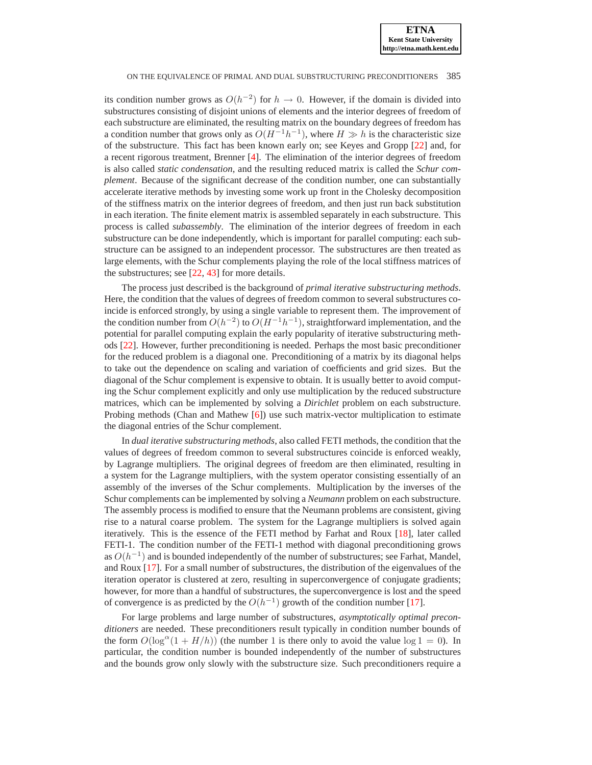its condition number grows as  $O(h^{-2})$  for  $h \to 0$ . However, if the domain is divided into substructures consisting of disjoint unions of elements and the interior degrees of freedom of each substructure are eliminated, the resulting matrix on the boundary degrees of freedom has a condition number that grows only as  $O(H^{-1}h^{-1})$ , where  $H \gg h$  is the characteristic size of the substructure. This fact has been known early on; see Keyes and Gropp [\[22\]](#page-17-3) and, for a recent rigorous treatment, Brenner [\[4\]](#page-16-1). The elimination of the interior degrees of freedom is also called *static condensation*, and the resulting reduced matrix is called the *Schur complement*. Because of the significant decrease of the condition number, one can substantially accelerate iterative methods by investing some work up front in the Cholesky decomposition of the stiffness matrix on the interior degrees of freedom, and then just run back substitution in each iteration. The finite element matrix is assembled separately in each substructure. This process is called *subassembly*. The elimination of the interior degrees of freedom in each substructure can be done independently, which is important for parallel computing: each substructure can be assigned to an independent processor. The substructures are then treated as large elements, with the Schur complements playing the role of the local stiffness matrices of the substructures; see [\[22,](#page-17-3) [43\]](#page-18-1) for more details.

The process just described is the background of *primal iterative substructuring methods*. Here, the condition that the values of degrees of freedom common to several substructures coincide is enforced strongly, by using a single variable to represent them. The improvement of the condition number from  $O(h^{-2})$  to  $O(H^{-1}h^{-1})$ , straightforward implementation, and the potential for parallel computing explain the early popularity of iterative substructuring methods [\[22\]](#page-17-3). However, further preconditioning is needed. Perhaps the most basic preconditioner for the reduced problem is a diagonal one. Preconditioning of a matrix by its diagonal helps to take out the dependence on scaling and variation of coefficients and grid sizes. But the diagonal of the Schur complement is expensive to obtain. It is usually better to avoid computing the Schur complement explicitly and only use multiplication by the reduced substructure matrices, which can be implemented by solving a *Dirichlet* problem on each substructure. Probing methods (Chan and Mathew [\[6\]](#page-17-4)) use such matrix-vector multiplication to estimate the diagonal entries of the Schur complement.

In *dual iterative substructuring methods*, also called FETI methods, the condition that the values of degrees of freedom common to several substructures coincide is enforced weakly, by Lagrange multipliers. The original degrees of freedom are then eliminated, resulting in a system for the Lagrange multipliers, with the system operator consisting essentially of an assembly of the inverses of the Schur complements. Multiplication by the inverses of the Schur complements can be implemented by solving a *Neumann* problem on each substructure. The assembly process is modified to ensure that the Neumann problems are consistent, giving rise to a natural coarse problem. The system for the Lagrange multipliers is solved again iteratively. This is the essence of the FETI method by Farhat and Roux [\[18\]](#page-17-5), later called FETI-1. The condition number of the FETI-1 method with diagonal preconditioning grows as  $O(h^{-1})$  and is bounded independently of the number of substructures; see Farhat, Mandel, and Roux [\[17\]](#page-17-6). For a small number of substructures, the distribution of the eigenvalues of the iteration operator is clustered at zero, resulting in superconvergence of conjugate gradients; however, for more than a handful of substructures, the superconvergence is lost and the speed of convergence is as predicted by the  $O(h^{-1})$  growth of the condition number [\[17\]](#page-17-6).

For large problems and large number of substructures, *asymptotically optimal preconditioners* are needed. These preconditioners result typically in condition number bounds of the form  $O(\log^{\alpha}(1 + H/h))$  (the number 1 is there only to avoid the value  $\log 1 = 0$ ). In particular, the condition number is bounded independently of the number of substructures and the bounds grow only slowly with the substructure size. Such preconditioners require a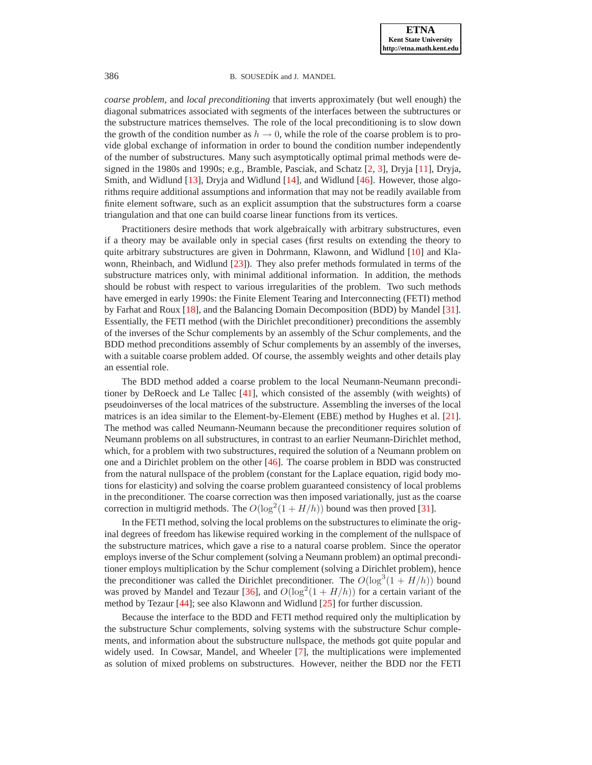*coarse problem*, and *local preconditioning* that inverts approximately (but well enough) the diagonal submatrices associated with segments of the interfaces between the subtructures or the substructure matrices themselves. The role of the local preconditioning is to slow down the growth of the condition number as  $h \to 0$ , while the role of the coarse problem is to provide global exchange of information in order to bound the condition number independently of the number of substructures. Many such asymptotically optimal primal methods were designed in the 1980s and 1990s; e.g., Bramble, Pasciak, and Schatz [\[2,](#page-16-2) [3\]](#page-16-3), Dryja [\[11\]](#page-17-7), Dryja, Smith, and Widlund [\[13\]](#page-17-8), Dryja and Widlund [\[14\]](#page-17-9), and Widlund [\[46\]](#page-18-2). However, those algorithms require additional assumptions and information that may not be readily available from finite element software, such as an explicit assumption that the substructures form a coarse triangulation and that one can build coarse linear functions from its vertices.

Practitioners desire methods that work algebraically with arbitrary substructures, even if a theory may be available only in special cases (first results on extending the theory to quite arbitrary substructures are given in Dohrmann, Klawonn, and Widlund [\[10\]](#page-17-10) and Klawonn, Rheinbach, and Widlund [\[23\]](#page-17-11)). They also prefer methods formulated in terms of the substructure matrices only, with minimal additional information. In addition, the methods should be robust with respect to various irregularities of the problem. Two such methods have emerged in early 1990s: the Finite Element Tearing and Interconnecting (FETI) method by Farhat and Roux [\[18\]](#page-17-5), and the Balancing Domain Decomposition (BDD) by Mandel [\[31\]](#page-18-3). Essentially, the FETI method (with the Dirichlet preconditioner) preconditions the assembly of the inverses of the Schur complements by an assembly of the Schur complements, and the BDD method preconditions assembly of Schur complements by an assembly of the inverses, with a suitable coarse problem added. Of course, the assembly weights and other details play an essential role.

The BDD method added a coarse problem to the local Neumann-Neumann preconditioner by DeRoeck and Le Tallec [\[41\]](#page-18-4), which consisted of the assembly (with weights) of pseudoinverses of the local matrices of the substructure. Assembling the inverses of the local matrices is an idea similar to the Element-by-Element (EBE) method by Hughes et al. [\[21\]](#page-17-12). The method was called Neumann-Neumann because the preconditioner requires solution of Neumann problems on all substructures, in contrast to an earlier Neumann-Dirichlet method, which, for a problem with two substructures, required the solution of a Neumann problem on one and a Dirichlet problem on the other [\[46\]](#page-18-2). The coarse problem in BDD was constructed from the natural nullspace of the problem (constant for the Laplace equation, rigid body motions for elasticity) and solving the coarse problem guaranteed consistency of local problems in the preconditioner. The coarse correction was then imposed variationally, just as the coarse correction in multigrid methods. The  $O(\log^2(1 + H/h))$  bound was then proved [\[31\]](#page-18-3).

In the FETI method, solving the local problems on the substructures to eliminate the original degrees of freedom has likewise required working in the complement of the nullspace of the substructure matrices, which gave a rise to a natural coarse problem. Since the operator employs inverse of the Schur complement (solving a Neumann problem) an optimal preconditioner employs multiplication by the Schur complement (solving a Dirichlet problem), hence the preconditioner was called the Dirichlet preconditioner. The  $O(\log^3(1 + H/h))$  bound was proved by Mandel and Tezaur [\[36\]](#page-18-5), and  $O(\log^2(1 + H/h))$  for a certain variant of the method by Tezaur [\[44\]](#page-18-6); see also Klawonn and Widlund [\[25\]](#page-17-13) for further discussion.

Because the interface to the BDD and FETI method required only the multiplication by the substructure Schur complements, solving systems with the substructure Schur complements, and information about the substructure nullspace, the methods got quite popular and widely used. In Cowsar, Mandel, and Wheeler [\[7\]](#page-17-14), the multiplications were implemented as solution of mixed problems on substructures. However, neither the BDD nor the FETI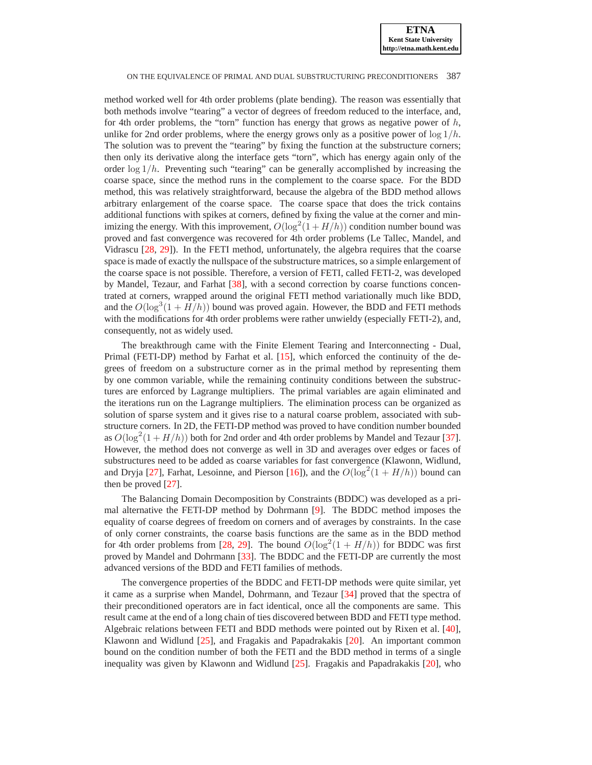method worked well for 4th order problems (plate bending). The reason was essentially that both methods involve "tearing" a vector of degrees of freedom reduced to the interface, and, for 4th order problems, the "torn" function has energy that grows as negative power of  $h$ , unlike for 2nd order problems, where the energy grows only as a positive power of  $\log 1/h$ . The solution was to prevent the "tearing" by fixing the function at the substructure corners; then only its derivative along the interface gets "torn", which has energy again only of the order  $\log 1/h$ . Preventing such "tearing" can be generally accomplished by increasing the coarse space, since the method runs in the complement to the coarse space. For the BDD method, this was relatively straightforward, because the algebra of the BDD method allows arbitrary enlargement of the coarse space. The coarse space that does the trick contains additional functions with spikes at corners, defined by fixing the value at the corner and minimizing the energy. With this improvement,  $O(\log^2(1 + H/h))$  condition number bound was proved and fast convergence was recovered for 4th order problems (Le Tallec, Mandel, and Vidrascu [\[28,](#page-17-15) [29\]](#page-17-16)). In the FETI method, unfortunately, the algebra requires that the coarse space is made of exactly the nullspace of the substructure matrices, so a simple enlargement of the coarse space is not possible. Therefore, a version of FETI, called FETI-2, was developed by Mandel, Tezaur, and Farhat [\[38\]](#page-18-7), with a second correction by coarse functions concentrated at corners, wrapped around the original FETI method variationally much like BDD, and the  $O(\log^3(1 + H/h))$  bound was proved again. However, the BDD and FETI methods with the modifications for 4th order problems were rather unwieldy (especially FETI-2), and, consequently, not as widely used.

The breakthrough came with the Finite Element Tearing and Interconnecting - Dual, Primal (FETI-DP) method by Farhat et al. [\[15\]](#page-17-17), which enforced the continuity of the degrees of freedom on a substructure corner as in the primal method by representing them by one common variable, while the remaining continuity conditions between the substructures are enforced by Lagrange multipliers. The primal variables are again eliminated and the iterations run on the Lagrange multipliers. The elimination process can be organized as solution of sparse system and it gives rise to a natural coarse problem, associated with substructure corners. In 2D, the FETI-DP method was proved to have condition number bounded as  $O(\log^2(1 + H/h))$  both for 2nd order and 4th order problems by Mandel and Tezaur [\[37\]](#page-18-8). However, the method does not converge as well in 3D and averages over edges or faces of substructures need to be added as coarse variables for fast convergence (Klawonn, Widlund, and Dryja [\[27\]](#page-17-18), Farhat, Lesoinne, and Pierson [\[16\]](#page-17-19)), and the  $O(\log^2(1 + H/h))$  bound can then be proved [\[27\]](#page-17-18).

The Balancing Domain Decomposition by Constraints (BDDC) was developed as a primal alternative the FETI-DP method by Dohrmann [\[9\]](#page-17-20). The BDDC method imposes the equality of coarse degrees of freedom on corners and of averages by constraints. In the case of only corner constraints, the coarse basis functions are the same as in the BDD method for 4th order problems from [\[28,](#page-17-15) [29\]](#page-17-16). The bound  $O(\log^2(1 + H/h))$  for BDDC was first proved by Mandel and Dohrmann [\[33\]](#page-18-9). The BDDC and the FETI-DP are currently the most advanced versions of the BDD and FETI families of methods.

The convergence properties of the BDDC and FETI-DP methods were quite similar, yet it came as a surprise when Mandel, Dohrmann, and Tezaur [\[34\]](#page-18-10) proved that the spectra of their preconditioned operators are in fact identical, once all the components are same. This result came at the end of a long chain of ties discovered between BDD and FETI type method. Algebraic relations between FETI and BDD methods were pointed out by Rixen et al. [\[40\]](#page-18-11), Klawonn and Widlund [\[25\]](#page-17-13), and Fragakis and Papadrakakis [\[20\]](#page-17-0). An important common bound on the condition number of both the FETI and the BDD method in terms of a single inequality was given by Klawonn and Widlund [\[25\]](#page-17-13). Fragakis and Papadrakakis [\[20\]](#page-17-0), who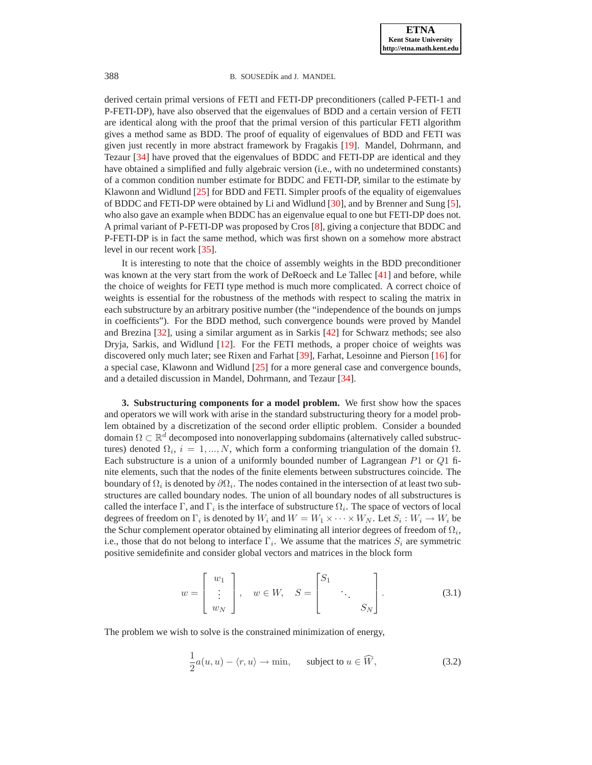derived certain primal versions of FETI and FETI-DP preconditioners (called P-FETI-1 and P-FETI-DP), have also observed that the eigenvalues of BDD and a certain version of FETI are identical along with the proof that the primal version of this particular FETI algorithm gives a method same as BDD. The proof of equality of eigenvalues of BDD and FETI was given just recently in more abstract framework by Fragakis [\[19\]](#page-17-2). Mandel, Dohrmann, and Tezaur [\[34\]](#page-18-10) have proved that the eigenvalues of BDDC and FETI-DP are identical and they have obtained a simplified and fully algebraic version (i.e., with no undetermined constants) of a common condition number estimate for BDDC and FETI-DP, similar to the estimate by Klawonn and Widlund [\[25\]](#page-17-13) for BDD and FETI. Simpler proofs of the equality of eigenvalues of BDDC and FETI-DP were obtained by Li and Widlund [\[30\]](#page-17-21), and by Brenner and Sung [\[5\]](#page-16-4), who also gave an example when BDDC has an eigenvalue equal to one but FETI-DP does not. A primal variant of P-FETI-DP was proposed by Cros [\[8\]](#page-17-1), giving a conjecture that BDDC and P-FETI-DP is in fact the same method, which was first shown on a somehow more abstract level in our recent work [\[35\]](#page-18-0).

It is interesting to note that the choice of assembly weights in the BDD preconditioner was known at the very start from the work of DeRoeck and Le Tallec [\[41\]](#page-18-4) and before, while the choice of weights for FETI type method is much more complicated. A correct choice of weights is essential for the robustness of the methods with respect to scaling the matrix in each substructure by an arbitrary positive number (the "independence of the bounds on jumps in coefficients"). For the BDD method, such convergence bounds were proved by Mandel and Brezina [\[32\]](#page-18-12), using a similar argument as in Sarkis [\[42\]](#page-18-13) for Schwarz methods; see also Dryja, Sarkis, and Widlund [\[12\]](#page-17-22). For the FETI methods, a proper choice of weights was discovered only much later; see Rixen and Farhat [\[39\]](#page-18-14), Farhat, Lesoinne and Pierson [\[16\]](#page-17-19) for a special case, Klawonn and Widlund [\[25\]](#page-17-13) for a more general case and convergence bounds, and a detailed discussion in Mandel, Dohrmann, and Tezaur [\[34\]](#page-18-10).

<span id="page-4-0"></span>**3. Substructuring components for a model problem.** We first show how the spaces and operators we will work with arise in the standard substructuring theory for a model problem obtained by a discretization of the second order elliptic problem. Consider a bounded domain  $\Omega \subset \mathbb{R}^d$  decomposed into nonoverlapping subdomains (alternatively called substructures) denoted  $\Omega_i$ ,  $i = 1, ..., N$ , which form a conforming triangulation of the domain  $\Omega$ . Each substructure is a union of a uniformly bounded number of Lagrangean  $P1$  or  $Q1$  finite elements, such that the nodes of the finite elements between substructures coincide. The boundary of  $\Omega_i$  is denoted by  $\partial\Omega_i$ . The nodes contained in the intersection of at least two substructures are called boundary nodes. The union of all boundary nodes of all substructures is called the interface  $\Gamma$ , and  $\Gamma_i$  is the interface of substructure  $\Omega_i$ . The space of vectors of local degrees of freedom on  $\Gamma_i$  is denoted by  $W_i$  and  $W = W_1 \times \cdots \times W_N$ . Let  $S_i : W_i \to W_i$  be the Schur complement operator obtained by eliminating all interior degrees of freedom of  $\Omega_i$ , i.e., those that do not belong to interface  $\Gamma_i$ . We assume that the matrices  $S_i$  are symmetric positive semidefinite and consider global vectors and matrices in the block form

$$
w = \begin{bmatrix} w_1 \\ \vdots \\ w_N \end{bmatrix}, \quad w \in W, \quad S = \begin{bmatrix} S_1 \\ \vdots \\ S_N \end{bmatrix}.
$$
 (3.1)

<span id="page-4-2"></span><span id="page-4-1"></span>The problem we wish to solve is the constrained minimization of energy,

$$
\frac{1}{2}a(u, u) - \langle r, u \rangle \to \min, \quad \text{subject to } u \in \widehat{W}, \tag{3.2}
$$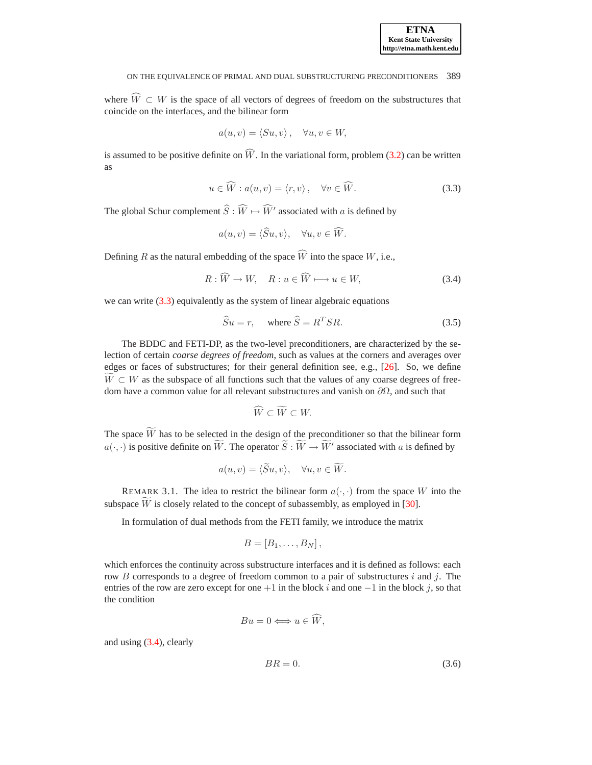where  $\widehat{W} \subset W$  is the space of all vectors of degrees of freedom on the substructures that coincide on the interfaces, and the bilinear form

$$
a(u, v) = \langle Su, v \rangle, \quad \forall u, v \in W,
$$

is assumed to be positive definite on  $\widehat{W}$ . In the variational form, problem [\(3.2\)](#page-4-1) can be written as

$$
u \in \widehat{W} : a(u, v) = \langle r, v \rangle, \quad \forall v \in \widehat{W}.
$$

<span id="page-5-0"></span>The global Schur complement  $\widehat{S} : \widehat{W} \mapsto \widehat{W}'$  associated with a is defined by

$$
a(u, v) = \langle \widehat{S}u, v \rangle, \quad \forall u, v \in \widehat{W}.
$$

<span id="page-5-1"></span>Defining R as the natural embedding of the space  $\widehat{W}$  into the space W, i.e.,

$$
R: \widehat{W} \to W, \quad R: u \in \widehat{W} \longmapsto u \in W,\tag{3.4}
$$

<span id="page-5-2"></span>we can write  $(3.3)$  equivalently as the system of linear algebraic equations

$$
\widehat{S}u = r, \quad \text{where } \widehat{S} = R^T S R. \tag{3.5}
$$

 $\sim$ 

The BDDC and FETI-DP, as the two-level preconditioners, are characterized by the selection of certain *coarse degrees of freedom*, such as values at the corners and averages over edges or faces of substructures; for their general definition see, e.g., [\[26\]](#page-17-23). So, we define  $W \subset W$  as the subspace of all functions such that the values of any coarse degrees of freedom have a common value for all relevant substructures and vanish on  $\partial\Omega$ , and such that

$$
W \subset W \subset W.
$$

The space  $\widetilde{W}$  has to be selected in the design of the preconditioner so that the bilinear form  $a(\cdot, \cdot)$  is positive definite on  $\widetilde{W}$ . The operator  $\widetilde{S}: \widetilde{W} \to \widetilde{W}'$  associated with a is defined by

$$
a(u, v) = \langle \widetilde{S}u, v \rangle, \quad \forall u, v \in \widetilde{W}.
$$

REMARK 3.1. The idea to restrict the bilinear form  $a(\cdot, \cdot)$  from the space W into the subspace  $\overline{W}$  is closely related to the concept of subassembly, as employed in [\[30\]](#page-17-21).

In formulation of dual methods from the FETI family, we introduce the matrix

$$
B=[B_1,\ldots,B_N]\,,
$$

which enforces the continuity across substructure interfaces and it is defined as follows: each row B corresponds to a degree of freedom common to a pair of substructures i and j. The entries of the row are zero except for one  $+1$  in the block i and one  $-1$  in the block j, so that the condition

<span id="page-5-3"></span>
$$
Bu = 0 \Longleftrightarrow u \in \widehat{W},
$$

and using [\(3.4\)](#page-5-1), clearly

$$
BR = 0.\t\t(3.6)
$$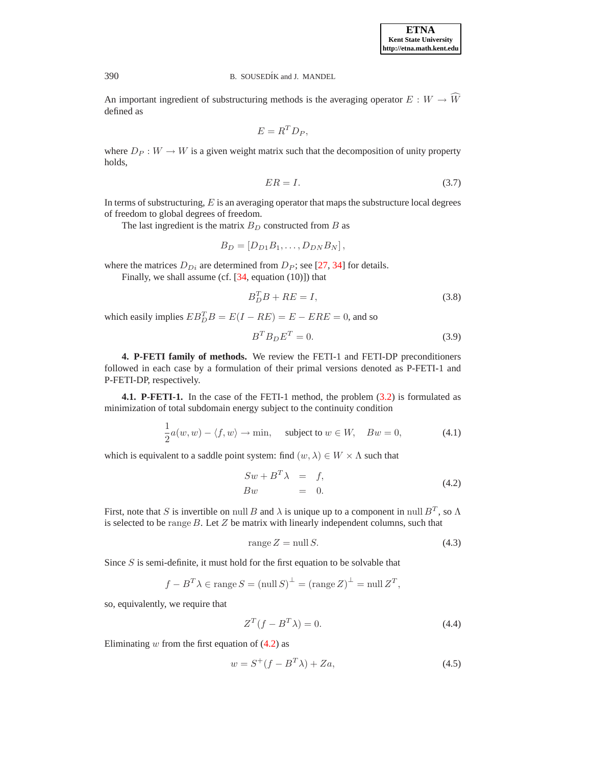**ETNA Kent State University http://etna.math.kent.edu**

## 390 B. SOUSEDÍK and J. MANDEL

An important ingredient of substructuring methods is the averaging operator  $E: W \to \widehat{W}$ defined as

$$
E = R^T D_P,
$$

where  $D_P : W \to W$  is a given weight matrix such that the decomposition of unity property holds,

<span id="page-6-7"></span>
$$
ER = I. \tag{3.7}
$$

In terms of substructuring,  $E$  is an averaging operator that maps the substructure local degrees of freedom to global degrees of freedom.

The last ingredient is the matrix  $B_D$  constructed from B as

$$
B_D=[D_{D1}B_1,\ldots,D_{DN}B_N],
$$

where the matrices  $D_{Di}$  are determined from  $D_P$ ; see [\[27,](#page-17-18) [34\]](#page-18-10) for details.

<span id="page-6-5"></span>Finally, we shall assume (cf.  $[34, \text{ equation } (10)]$ ) that

$$
B_D^T B + R E = I,\t\t(3.8)
$$

which easily implies  $EB_D^T B = E(I - RE) = E - ERE = 0$ , and so

<span id="page-6-8"></span>
$$
B^T B_D E^T = 0. \tag{3.9}
$$

<span id="page-6-0"></span>**4. P-FETI family of methods.** We review the FETI-1 and FETI-DP preconditioners followed in each case by a formulation of their primal versions denoted as P-FETI-1 and P-FETI-DP, respectively.

**4.1. P-FETI-1.** In the case of the FETI-1 method, the problem [\(3.2\)](#page-4-1) is formulated as minimization of total subdomain energy subject to the continuity condition

<span id="page-6-1"></span>
$$
\frac{1}{2}a(w, w) - \langle f, w \rangle \to \min, \quad \text{subject to } w \in W, \quad Bw = 0,
$$
\n(4.1)

<span id="page-6-4"></span>which is equivalent to a saddle point system: find  $(w, \lambda) \in W \times \Lambda$  such that

$$
Sw + B^T \lambda = f,
$$
  
\n
$$
Bw = 0.
$$
\n(4.2)

First, note that S is invertible on null B and  $\lambda$  is unique up to a component in null  $B<sup>T</sup>$ , so  $\Lambda$ is selected to be range B. Let Z be matrix with linearly independent columns, such that

$$
range Z = null S. \t(4.3)
$$

Since  $S$  is semi-definite, it must hold for the first equation to be solvable that

<span id="page-6-6"></span><span id="page-6-2"></span>
$$
f - B^T \lambda \in \text{range } S = (\text{null } S)^{\perp} = (\text{range } Z)^{\perp} = \text{null } Z^T,
$$

so, equivalently, we require that

$$
Z^T(f - B^T \lambda) = 0. \tag{4.4}
$$

<span id="page-6-3"></span>Eliminating  $w$  from the first equation of  $(4.2)$  as

$$
w = S^{+}(f - B^{T}\lambda) + Za,
$$
\n(4.5)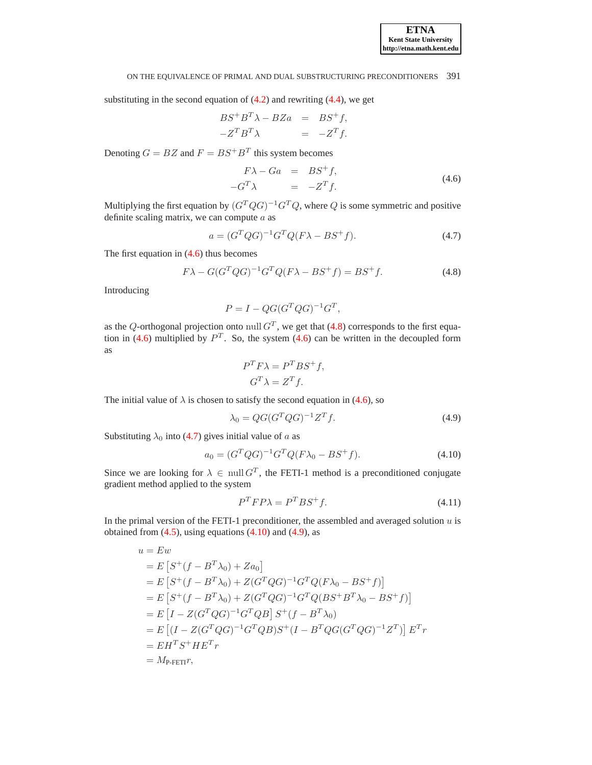substituting in the second equation of  $(4.2)$  and rewriting  $(4.4)$ , we get

$$
BS^{+}B^{T}\lambda - BZa = BS^{+}f,
$$
  

$$
-Z^{T}B^{T}\lambda = -Z^{T}f.
$$

<span id="page-7-0"></span>Denoting  $G = BZ$  and  $F = BS^+B^T$  this system becomes

$$
F\lambda - Ga = BS^{+}f,
$$
  

$$
-G^{T}\lambda = -Z^{T}f.
$$
 (4.6)

Multiplying the first equation by  $(G^T Q G)^{-1} G^T Q$ , where Q is some symmetric and positive definite scaling matrix, we can compute  $a$  as

$$
a = (G^T Q G)^{-1} G^T Q (F \lambda - BS^+ f). \tag{4.7}
$$

<span id="page-7-2"></span><span id="page-7-1"></span>The first equation in [\(4.6\)](#page-7-0) thus becomes

$$
F\lambda - G(G^T Q G)^{-1} G^T Q (F\lambda - BS^+ f) = BS^+ f.
$$
\n(4.8)

Introducing

$$
P = I - QG(G^T Q G)^{-1} G^T,
$$

as the Q-orthogonal projection onto null  $G<sup>T</sup>$ , we get that [\(4.8\)](#page-7-1) corresponds to the first equa-tion in [\(4.6\)](#page-7-0) multiplied by  $P<sup>T</sup>$ . So, the system (4.6) can be written in the decoupled form as

$$
P^T F \lambda = P^T B S^+ f,
$$
  

$$
G^T \lambda = Z^T f.
$$

The initial value of  $\lambda$  is chosen to satisfy the second equation in [\(4.6\)](#page-7-0), so

$$
\lambda_0 = QG(G^T Q G)^{-1} Z^T f. \tag{4.9}
$$

<span id="page-7-3"></span>Substituting  $\lambda_0$  into [\(4.7\)](#page-7-2) gives initial value of a as

<span id="page-7-4"></span>
$$
a_0 = (G^T Q G)^{-1} G^T Q (F \lambda_0 - B S^+ f). \tag{4.10}
$$

Since we are looking for  $\lambda \in \text{null } G^T$ , the FETI-1 method is a preconditioned conjugate gradient method applied to the system

$$
P^T F P \lambda = P^T B S^+ f. \tag{4.11}
$$

In the primal version of the FETI-1 preconditioner, the assembled and averaged solution  $u$  is obtained from  $(4.5)$ , using equations  $(4.10)$  and  $(4.9)$ , as

<span id="page-7-5"></span>
$$
u = Ew
$$
  
\n
$$
= E [S^+(f - B^T \lambda_0) + Za_0]
$$
  
\n
$$
= E [S^+(f - B^T \lambda_0) + Z(G^T Q G)^{-1} G^T Q (F \lambda_0 - BS^+ f)]
$$
  
\n
$$
= E [S^+(f - B^T \lambda_0) + Z(G^T Q G)^{-1} G^T Q (BS^+ B^T \lambda_0 - BS^+ f)]
$$
  
\n
$$
= E [I - Z(G^T Q G)^{-1} G^T Q B] S^+(f - B^T \lambda_0)
$$
  
\n
$$
= E [I - Z(G^T Q G)^{-1} G^T Q B) S^+(I - B^T Q G (G^T Q G)^{-1} Z^T)] E^T r
$$
  
\n
$$
= EH^T S^+ HE^T r
$$
  
\n
$$
= M_{\text{P-FETI}} r,
$$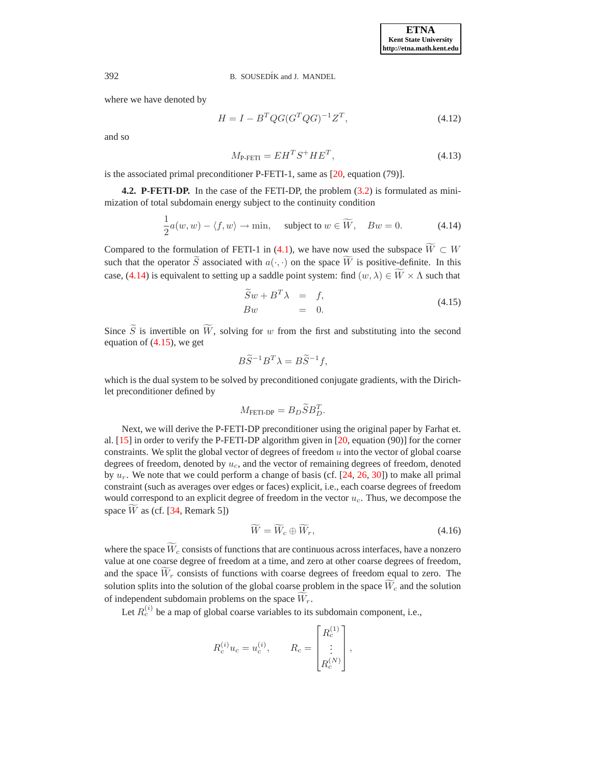<span id="page-8-4"></span>where we have denoted by

$$
H = I - BT QG(GTQG)-1ZT,
$$
\n(4.12)

<span id="page-8-3"></span>and so

$$
M_{\text{P-FETI}} = EH^T S^+ H E^T,\tag{4.13}
$$

is the associated primal preconditioner P-FETI-1, same as [\[20,](#page-17-0) equation (79)].

**4.2. P-FETI-DP.** In the case of the FETI-DP, the problem [\(3.2\)](#page-4-1) is formulated as minimization of total subdomain energy subject to the continuity condition

$$
\frac{1}{2}a(w, w) - \langle f, w \rangle \to \min, \quad \text{subject to } w \in \widetilde{W}, \quad Bw = 0. \tag{4.14}
$$

<span id="page-8-0"></span>Compared to the formulation of FETI-1 in [\(4.1\)](#page-6-4), we have now used the subspace  $\widetilde{W} \subset W$ such that the operator  $\widetilde{S}$  associated with  $a(\cdot, \cdot)$  on the space  $\widetilde{W}$  is positive-definite. In this case, [\(4.14\)](#page-8-0) is equivalent to setting up a saddle point system: find  $(w, \lambda) \in \widetilde{W} \times \Lambda$  such that

<span id="page-8-1"></span>
$$
\widetilde{S}w + B^T \lambda = f, \n Bw = 0.
$$
\n(4.15)

Since  $\widetilde{S}$  is invertible on  $\widetilde{W}$ , solving for w from the first and substituting into the second equation of  $(4.15)$ , we get

$$
B\widetilde{S}^{-1}B^T\lambda = B\widetilde{S}^{-1}f,
$$

which is the dual system to be solved by preconditioned conjugate gradients, with the Dirichlet preconditioner defined by

$$
M_{\text{FETI-DP}} = B_D \widetilde{S} B_D^T.
$$

Next, we will derive the P-FETI-DP preconditioner using the original paper by Farhat et. al. [\[15\]](#page-17-17) in order to verify the P-FETI-DP algorithm given in [\[20,](#page-17-0) equation (90)] for the corner constraints. We split the global vector of degrees of freedom  $u$  into the vector of global coarse degrees of freedom, denoted by  $u_c$ , and the vector of remaining degrees of freedom, denoted by  $u_r$ . We note that we could perform a change of basis (cf. [\[24,](#page-17-24) [26,](#page-17-23) [30\]](#page-17-21)) to make all primal constraint (such as averages over edges or faces) explicit, i.e., each coarse degrees of freedom would correspond to an explicit degree of freedom in the vector  $u_c$ . Thus, we decompose the space W as (cf.  $[34,$  Remark 5])

<span id="page-8-2"></span>
$$
\widetilde{W} = \widetilde{W}_c \oplus \widetilde{W}_r, \tag{4.16}
$$

where the space  $\widetilde{W}_c$  consists of functions that are continuous across interfaces, have a nonzero value at one coarse degree of freedom at a time, and zero at other coarse degrees of freedom, and the space  $\overline{W}_r$  consists of functions with coarse degrees of freedom equal to zero. The solution splits into the solution of the global coarse problem in the space  $W_c$  and the solution of independent subdomain problems on the space  $\widetilde{W}_r$ .

Let  $R_c^{(i)}$  be a map of global coarse variables to its subdomain component, i.e.,

$$
R_c^{(i)} u_c = u_c^{(i)}, \qquad R_c = \begin{bmatrix} R_c^{(1)} \\ \vdots \\ R_c^{(N)} \end{bmatrix},
$$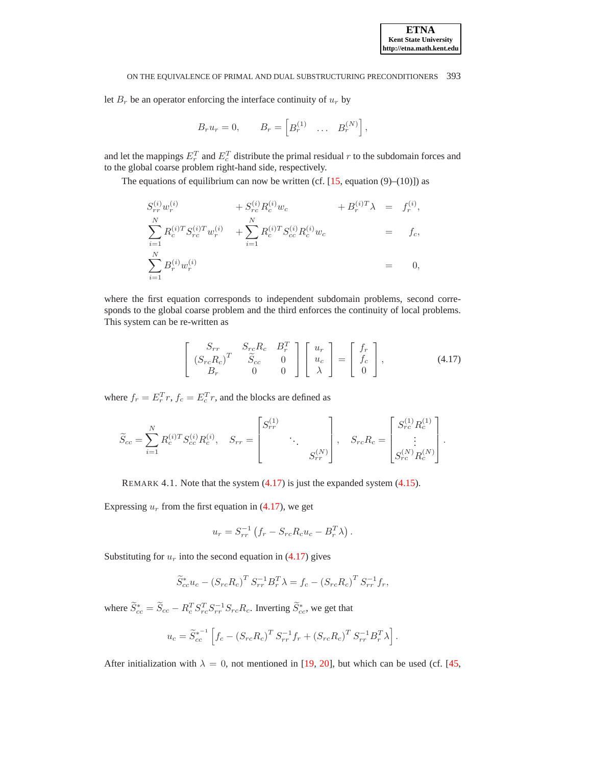let  $B_r$  be an operator enforcing the interface continuity of  $u_r$  by

$$
B_r u_r = 0, \qquad B_r = \begin{bmatrix} B_r^{(1)} & \dots & B_r^{(N)} \end{bmatrix},
$$

and let the mappings  $E_r^T$  and  $E_c^T$  distribute the primal residual r to the subdomain forces and to the global coarse problem right-hand side, respectively.

The equations of equilibrium can now be written (cf.  $[15$ , equation (9)–(10)]) as

$$
S_{rr}^{(i)} w_r^{(i)} + S_{rc}^{(i)} R_c^{(i)} w_c + B_r^{(i)T} \lambda = f_r^{(i)},
$$
  
\n
$$
\sum_{i=1}^N R_c^{(i)T} S_{rc}^{(i)T} w_r^{(i)} + \sum_{i=1}^N R_c^{(i)T} S_{cc}^{(i)} R_c^{(i)} w_c = f_c,
$$
  
\n
$$
\sum_{i=1}^N B_r^{(i)} w_r^{(i)} = 0,
$$

where the first equation corresponds to independent subdomain problems, second corresponds to the global coarse problem and the third enforces the continuity of local problems. This system can be re-written as

$$
\begin{bmatrix}\nS_{rr} & S_{rc}R_c & B_r^T \\
(S_{rc}R_c)^T & \tilde{S}_{cc} & 0 \\
B_r & 0 & 0\n\end{bmatrix}\n\begin{bmatrix}\nu_r \\
u_c \\
\lambda\n\end{bmatrix} =\n\begin{bmatrix}\nf_r \\
f_c \\
0\n\end{bmatrix},
$$
\n(4.17)

<span id="page-9-0"></span>where  $f_r = E_r^T r$ ,  $f_c = E_c^T r$ , and the blocks are defined as

$$
\widetilde{S}_{cc} = \sum_{i=1}^{N} R_c^{(i)T} S_{cc}^{(i)} R_c^{(i)}, \quad S_{rr} = \begin{bmatrix} S_{rr}^{(1)} & & \\ & \ddots & \\ & & S_{rr}^{(N)} \end{bmatrix}, \quad S_{rc} R_c = \begin{bmatrix} S_{rc}^{(1)} R_c^{(1)} \\ \vdots \\ S_{rc}^{(N)} R_c^{(N)} \end{bmatrix}.
$$

REMARK 4.1. Note that the system [\(4.17\)](#page-9-0) is just the expanded system [\(4.15\)](#page-8-1).

Expressing  $u_r$  from the first equation in [\(4.17\)](#page-9-0), we get

$$
u_r = S_{rr}^{-1} \left( f_r - S_{rc} R_c u_c - B_r^T \lambda \right).
$$

Substituting for  $u_r$  into the second equation in [\(4.17\)](#page-9-0) gives

$$
\widetilde{S}_{cc}^* u_c - (S_{rc} R_c)^T S_{rr}^{-1} B_r^T \lambda = f_c - (S_{rc} R_c)^T S_{rr}^{-1} f_r,
$$

where  $\widetilde{S}_{cc}^* = \widetilde{S}_{cc} - R_c^T S_{rc}^T S_{rr}^{-1} S_{rc} R_c$ . Inverting  $\widetilde{S}_{cc}^*$ , we get that

$$
u_c = \widetilde{S}_{cc}^{*^{-1}} \left[ f_c - (S_{rc} R_c)^T S_{rr}^{-1} f_r + (S_{rc} R_c)^T S_{rr}^{-1} B_r^T \lambda \right].
$$

After initialization with  $\lambda = 0$ , not mentioned in [\[19,](#page-17-2) [20\]](#page-17-0), but which can be used (cf. [\[45,](#page-18-15)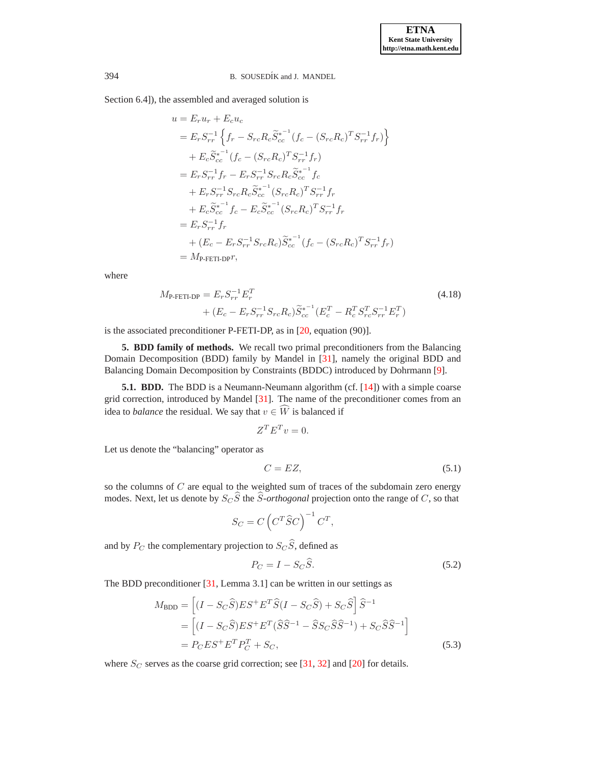Section 6.4]), the assembled and averaged solution is

$$
u = E_r u_r + E_c u_c
$$
  
\n
$$
= E_r S_{rr}^{-1} \left\{ f_r - S_{rc} R_c \widetilde{S}_{cc}^{*^{-1}} (f_c - (S_{rc} R_c)^T S_{rr}^{-1} f_r) \right\}
$$
  
\n
$$
+ E_c \widetilde{S}_{cc}^{*^{-1}} (f_c - (S_{rc} R_c)^T S_{rr}^{-1} f_r)
$$
  
\n
$$
= E_r S_{rr}^{-1} f_r - E_r S_{rr}^{-1} S_{rc} R_c \widetilde{S}_{cc}^{*^{-1}} f_c
$$
  
\n
$$
+ E_r S_{rr}^{-1} S_{rc} R_c \widetilde{S}_{cc}^{*^{-1}} (S_{rc} R_c)^T S_{rr}^{-1} f_r
$$
  
\n
$$
+ E_c \widetilde{S}_{cc}^{*^{-1}} f_c - E_c \widetilde{S}_{cc}^{*^{-1}} (S_{rc} R_c)^T S_{rr}^{-1} f_r
$$
  
\n
$$
= E_r S_{rr}^{-1} f_r
$$
  
\n
$$
+ (E_c - E_r S_{rr}^{-1} S_{rc} R_c) \widetilde{S}_{cc}^{*^{-1}} (f_c - (S_{rc} R_c)^T S_{rr}^{-1} f_r)
$$
  
\n
$$
= M_{\text{P-FETI-DP}} r,
$$

where

$$
M_{\text{P-FETI-DP}} = E_r S_{rr}^{-1} E_r^T
$$
  
+ 
$$
(E_c - E_r S_{rr}^{-1} S_{rc} R_c) \tilde{S}_{cc}^{*^{-1}} (E_c^T - R_c^T S_{rc}^T S_{rr}^{-1} E_r^T)
$$

$$
(4.18)
$$

<span id="page-10-0"></span>is the associated preconditioner P-FETI-DP, as in [\[20,](#page-17-0) equation (90)].

**5. BDD family of methods.** We recall two primal preconditioners from the Balancing Domain Decomposition (BDD) family by Mandel in [\[31\]](#page-18-3), namely the original BDD and Balancing Domain Decomposition by Constraints (BDDC) introduced by Dohrmann [\[9\]](#page-17-20).

**5.1. BDD.** The BDD is a Neumann-Neumann algorithm (cf. [\[14\]](#page-17-9)) with a simple coarse grid correction, introduced by Mandel [\[31\]](#page-18-3). The name of the preconditioner comes from an idea to *balance* the residual. We say that  $v \in \widehat{W}$  is balanced if

<span id="page-10-4"></span>
$$
Z^T E^T v = 0.
$$

Let us denote the "balancing" operator as

$$
C = EZ,\tag{5.1}
$$

so the columns of  $C$  are equal to the weighted sum of traces of the subdomain zero energy modes. Next, let us denote by  $S<sub>C</sub> \hat{S}$  the  $\hat{S}$ -*orthogonal* projection onto the range of C, so that

<span id="page-10-2"></span>
$$
S_C = C \left( C^T \widehat{S} C \right)^{-1} C^T,
$$

and by  $P_C$  the complementary projection to  $S_C \hat{S}$ , defined as

$$
P_C = I - S_C \hat{S}.
$$
\n<sup>(5.2)</sup>

<span id="page-10-1"></span>The BDD preconditioner [\[31,](#page-18-3) Lemma 3.1] can be written in our settings as

<span id="page-10-3"></span>
$$
M_{\text{BDD}} = \left[ (I - S_C \widehat{S}) E S^+ E^T \widehat{S} (I - S_C \widehat{S}) + S_C \widehat{S} \right] \widehat{S}^{-1}
$$
  
= 
$$
\left[ (I - S_C \widehat{S}) E S^+ E^T (\widehat{S} \widehat{S}^{-1} - \widehat{S} S_C \widehat{S} \widehat{S}^{-1}) + S_C \widehat{S} \widehat{S}^{-1} \right]
$$
  
= 
$$
P_C E S^+ E^T P_C^T + S_C,
$$
 (5.3)

where  $S_C$  serves as the coarse grid correction; see [\[31,](#page-18-3) [32\]](#page-18-12) and [\[20\]](#page-17-0) for details.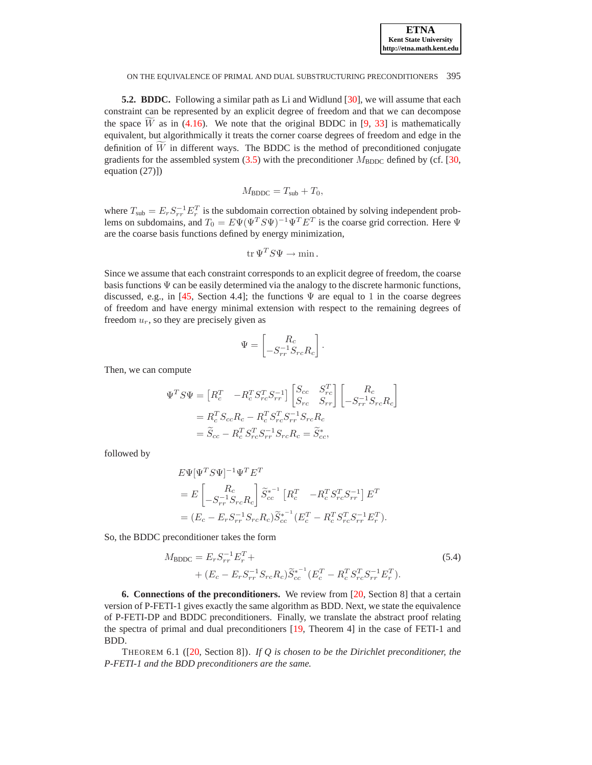**5.2. BDDC.** Following a similar path as Li and Widlund [\[30\]](#page-17-21), we will assume that each constraint can be represented by an explicit degree of freedom and that we can decompose the space  $\overline{W}$  as in [\(4.16\)](#page-8-2). We note that the original BDDC in [\[9,](#page-17-20) [33\]](#page-18-9) is mathematically equivalent, but algorithmically it treats the corner coarse degrees of freedom and edge in the definition of  $\tilde{W}$  in different ways. The BDDC is the method of preconditioned conjugate gradients for the assembled system  $(3.5)$  with the preconditioner  $M_{\text{BDDC}}$  defined by (cf. [\[30,](#page-17-21) equation (27)])

$$
M_{\rm BDDC} = T_{\rm sub} + T_0,
$$

where  $T_{\text{sub}} = E_r S_{rr}^{-1} E_r^T$  is the subdomain correction obtained by solving independent problems on subdomains, and  $T_0 = E \Psi (\Psi^T S \Psi)^{-1} \Psi^T E^T$  is the coarse grid correction. Here  $\Psi$ are the coarse basis functions defined by energy minimization,

$$
\operatorname{tr}\Psi^TS\Psi\to\min.
$$

Since we assume that each constraint corresponds to an explicit degree of freedom, the coarse basis functions  $\Psi$  can be easily determined via the analogy to the discrete harmonic functions, discussed, e.g., in [\[45,](#page-18-15) Section 4.4]; the functions  $\Psi$  are equal to 1 in the coarse degrees of freedom and have energy minimal extension with respect to the remaining degrees of freedom  $u_r$ , so they are precisely given as

$$
\Psi = \begin{bmatrix} R_c \\ -S_{rr}^{-1} S_{rc} R_c \end{bmatrix}.
$$

Then, we can compute

$$
\Psi^T S \Psi = \begin{bmatrix} R_c^T & -R_c^T S_{rc}^T S_{rr}^{-1} \end{bmatrix} \begin{bmatrix} S_{cc} & S_{rc}^T \\ S_{rc} & S_{rr} \end{bmatrix} \begin{bmatrix} R_c \\ -S_{rr}^{-1} S_{rc} R_c \end{bmatrix}
$$
  
=  $R_c^T S_{cc} R_c - R_c^T S_{rc}^T S_{rr}^{-1} S_{rc} R_c$   
=  $\tilde{S}_{cc} - R_c^T S_{rc}^T S_{rr}^{-1} S_{rc} R_c = \tilde{S}_{cc}^*,$ 

followed by

$$
E\Psi[\Psi^T S \Psi]^{-1} \Psi^T E^T
$$
  
=  $E\begin{bmatrix} R_c \\ -S_{rr}^{-1} S_{rc} R_c \end{bmatrix} \widetilde{S}_{cc}^{*^{-1}} [R_c^T \t - R_c^T S_{rc}^T S_{rr}^{-1}] E^T$   
=  $(E_c - E_r S_{rr}^{-1} S_{rc} R_c) \widetilde{S}_{cc}^{*^{-1}} (E_c^T - R_c^T S_{rc}^T S_{rr}^{-1} E_r^T).$ 

So, the BDDC preconditioner takes the form

<span id="page-11-1"></span>
$$
M_{\text{BDDC}} = E_r S_{rr}^{-1} E_r^T + + (E_c - E_r S_{rr}^{-1} S_{rc} R_c) \tilde{S}_{cc}^{*^{-1}} (E_c^T - R_c^T S_{rc}^T S_{rr}^{-1} E_r^T).
$$
 (5.4)

<span id="page-11-0"></span>**6. Connections of the preconditioners.** We review from [\[20,](#page-17-0) Section 8] that a certain version of P-FETI-1 gives exactly the same algorithm as BDD. Next, we state the equivalence of P-FETI-DP and BDDC preconditioners. Finally, we translate the abstract proof relating the spectra of primal and dual preconditioners [\[19,](#page-17-2) Theorem 4] in the case of FETI-1 and BDD.

<span id="page-11-2"></span>THEOREM 6.1 ([\[20,](#page-17-0) Section 8]). *If Q is chosen to be the Dirichlet preconditioner, the P-FETI-1 and the BDD preconditioners are the same.*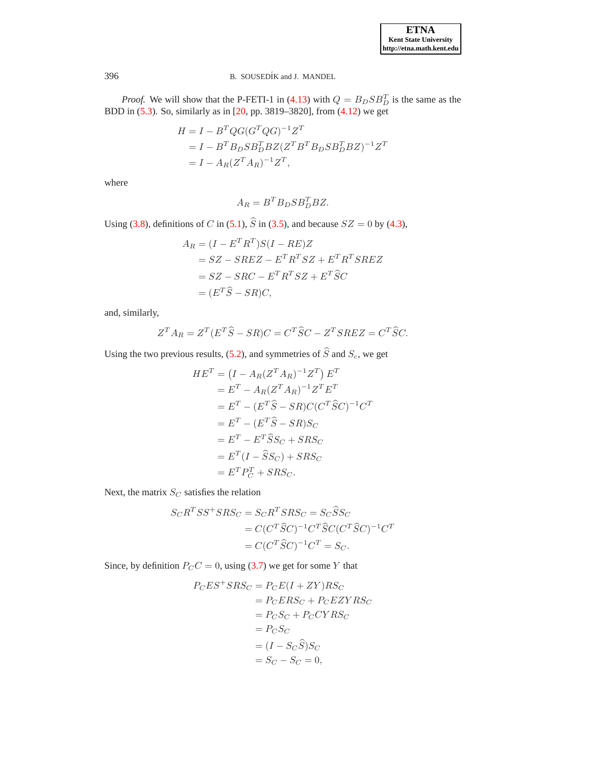

*Proof.* We will show that the P-FETI-1 in [\(4.13\)](#page-8-3) with  $Q = B_D S B_D^T$  is the same as the BDD in [\(5.3\)](#page-10-1). So, similarly as in [\[20,](#page-17-0) pp. 3819–3820], from [\(4.12\)](#page-8-4) we get

$$
H = I - BT QG(GTQG)-1ZT
$$
  
=  $I - BT BD S BDT BZ (ZT BT BD S BDT BZ)-1ZT$   
=  $I - AR(ZT AR)-1ZT$ ,

where

$$
A_R = B^T B_D S B_D^T B Z.
$$

Using [\(3.8\)](#page-6-5), definitions of C in [\(5.1\)](#page-10-2),  $\hat{S}$  in [\(3.5\)](#page-5-2), and because  $SZ = 0$  by [\(4.3\)](#page-6-6),

$$
A_R = (I - E^T R^T)S(I - RE)Z
$$
  
= 
$$
SZ - SREZ - E^T R^T SZ + E^T R^T S REZ
$$
  
= 
$$
SZ - SRC - E^T R^T SZ + E^T \hat{S}C
$$
  
= 
$$
(E^T \hat{S} - SR)C,
$$

and, similarly,

$$
Z^T A_R = Z^T (E^T \widehat{S} - SR) C = C^T \widehat{S} C - Z^T S R E Z = C^T \widehat{S} C.
$$

Using the two previous results, [\(5.2\)](#page-10-3), and symmetries of  $\widehat{S}$  and  $S_c$ , we get

$$
HE^{T} = (I - A_{R}(Z^{T}A_{R})^{-1}Z^{T}) E^{T}
$$
  
\n
$$
= E^{T} - A_{R}(Z^{T}A_{R})^{-1}Z^{T}E^{T}
$$
  
\n
$$
= E^{T} - (E^{T}\hat{S} - SR)C(C^{T}\hat{S}C)^{-1}C^{T}
$$
  
\n
$$
= E^{T} - (E^{T}\hat{S} - SR)S_{C}
$$
  
\n
$$
= E^{T} - E^{T}\hat{S}S_{C} + SRS_{C}
$$
  
\n
$$
= E^{T}(I - \hat{S}S_{C}) + SRS_{C}
$$
  
\n
$$
= E^{T}P_{C}^{T} + SRS_{C}.
$$

Next, the matrix  $S_C$  satisfies the relation

$$
S_C R^T S S^+ S R S_C = S_C R^T S R S_C = S_C \widehat{S} S_C
$$
  
= 
$$
C (C^T \widehat{S} C)^{-1} C^T \widehat{S} C (C^T \widehat{S} C)^{-1} C^T
$$
  
= 
$$
C (C^T \widehat{S} C)^{-1} C^T = S_C.
$$

Since, by definition  $P_C C = 0$ , using [\(3.7\)](#page-6-7) we get for some Y that

$$
P_C ES^+ SRS_C = P_C E(I + ZY)RS_C
$$
  
= 
$$
P_C ERS_C + P_C EZYRS_C
$$
  
= 
$$
P_C S_C + P_C CYRS_C
$$
  
= 
$$
P_C S_C
$$
  
= 
$$
(I - S_C \widehat{S})S_C
$$
  
= 
$$
S_C - S_C = 0,
$$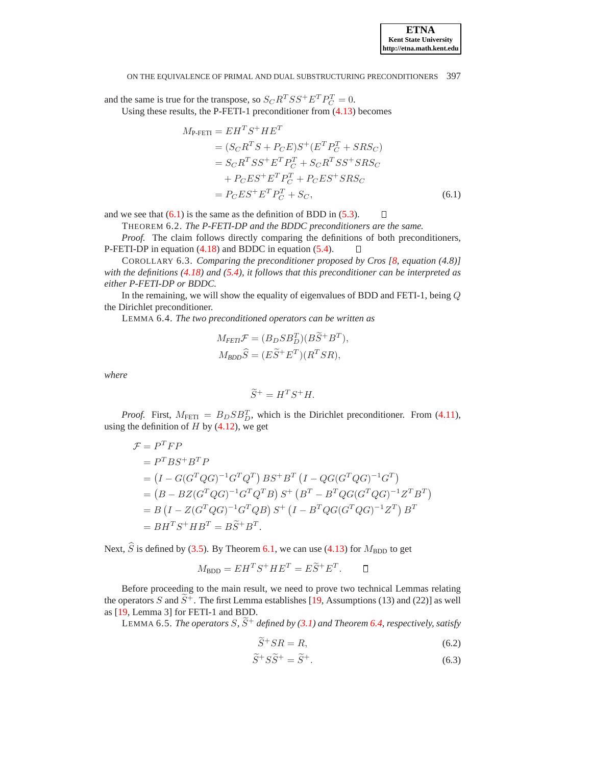and the same is true for the transpose, so  $S_C R^T S S^+ E^T P^T_C = 0$ . Using these results, the P-FETI-1 preconditioner from [\(4.13\)](#page-8-3) becomes

<span id="page-13-0"></span>
$$
M_{\text{P-FETI}} = EH^{T}S^{+}HE^{T}
$$
  
=  $(S_{C}R^{T}S + P_{C}E)S^{+}(E^{T}P_{C}^{T} + SRS_{C})$   
=  $S_{C}R^{T}SS^{+}E^{T}P_{C}^{T} + S_{C}R^{T}SS^{+}SRS_{C}$   
+  $P_{C}ES^{+}E^{T}P_{C}^{T} + P_{C}ES^{+}SRS_{C}$   
=  $P_{C}ES^{+}E^{T}P_{C}^{T} + S_{C},$  (6.1)

and we see that  $(6.1)$  is the same as the definition of BDD in  $(5.3)$ .  $\Box$ 

THEOREM 6.2. *The P-FETI-DP and the BDDC preconditioners are the same.*

*Proof.* The claim follows directly comparing the definitions of both preconditioners, P-FETI-DP in equation [\(4.18\)](#page-10-4) and BDDC in equation [\(5.4\)](#page-11-1).  $\Box$ 

COROLLARY 6.3. *Comparing the preconditioner proposed by Cros [\[8,](#page-17-1) equation (4.8)] with the definitions [\(4.18\)](#page-10-4) and [\(5.4\)](#page-11-1), it follows that this preconditioner can be interpreted as either P-FETI-DP or BDDC.*

<span id="page-13-1"></span>In the remaining, we will show the equality of eigenvalues of BDD and FETI-1, being  $Q$ the Dirichlet preconditioner.

LEMMA 6.4. *The two preconditioned operators can be written as*

$$
M_{FETl} \mathcal{F} = (B_D S B_D^T)(B \widetilde{S}^+ B^T),
$$
  

$$
M_{BDD} \widehat{S} = (E \widetilde{S}^+ E^T)(R^T S R),
$$

*where*

$$
\widetilde{S}^+ = H^T S^+ H.
$$

*Proof.* First,  $M_{\text{FETI}} = B_D S B_D^T$ , which is the Dirichlet preconditioner. From [\(4.11\)](#page-7-5), using the definition of  $H$  by [\(4.12\)](#page-8-4), we get

$$
\mathcal{F} = P^T F P
$$
  
=  $P^T B S^+ B^T P$   
=  $(I - G(G^T Q G)^{-1} G^T Q^T) B S^+ B^T (I - Q G (G^T Q G)^{-1} G^T)$   
=  $(B - BZ(G^T Q G)^{-1} G^T Q^T B) S^+ (B^T - B^T Q G (G^T Q G)^{-1} Z^T B^T)$   
=  $B (I - Z (G^T Q G)^{-1} G^T Q B) S^+ (I - B^T Q G (G^T Q G)^{-1} Z^T) B^T$   
=  $B H^T S^+ H B^T = B \tilde{S}^+ B^T.$ 

Next,  $\hat{S}$  is defined by [\(3.5\)](#page-5-2). By Theorem [6.1,](#page-11-2) we can use [\(4.13\)](#page-8-3) for  $M_{\text{BDD}}$  to get

$$
M_{\rm BDD} = EH^T S^+ H E^T = E \widetilde{S}^+ E^T. \qquad \Box
$$

Before proceeding to the main result, we need to prove two technical Lemmas relating the operators S and  $\widetilde{S}^+$ . The first Lemma establishes [\[19,](#page-17-2) Assumptions (13) and (22)] as well as [\[19,](#page-17-2) Lemma 3] for FETI-1 and BDD.

LEMMA 6.5. *The operators S*,  $\widetilde{S}^+$  *defined by* [\(3.1\)](#page-4-2) *and Theorem* [6.4,](#page-13-1) *respectively*, *satisfy* 

<span id="page-13-3"></span><span id="page-13-2"></span>
$$
\widetilde{S}^+SR = R,\tag{6.2}
$$

$$
\widetilde{S}^+ S \widetilde{S}^+ = \widetilde{S}^+.
$$
\n(6.3)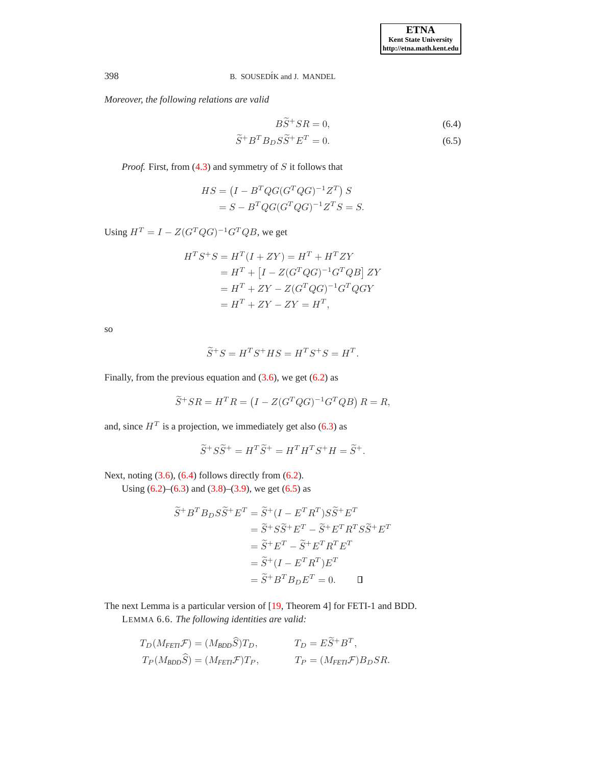*Moreover, the following relations are valid*

<span id="page-14-1"></span><span id="page-14-0"></span>
$$
B\widetilde{S}^{+}SR = 0,
$$
\n
$$
\widetilde{S}^{+}B^{T}B_{D}S\widetilde{S}^{+}E^{T} = 0.
$$
\n(6.5)

$$
f_{\rm{max}}(x)=\frac{1}{2}x
$$

*Proof.* First, from [\(4.3\)](#page-6-6) and symmetry of S it follows that

$$
HS = (I - BTQG(GTQG)-1ZT) S
$$
  
= S - B<sup>T</sup>QG(G<sup>T</sup>QQ)<sup>-1</sup>Z<sup>T</sup>S = S.

Using  $H^T = I - Z(G^T Q G)^{-1} G^T Q B$ , we get

$$
HTS+S = HT(I + ZY) = HT + HTZY
$$
  
= H<sup>T</sup> + [I – Z(G<sup>T</sup>QG)<sup>-1</sup>G<sup>T</sup>QB] ZY  
= H<sup>T</sup> + ZY – Z(G<sup>T</sup>QG)<sup>-1</sup>G<sup>T</sup>QGY  
= H<sup>T</sup> + ZY – ZY = H<sup>T</sup>,

so

$$
\widetilde{S}^+S = H^T S^+ H S = H^T S^+ S = H^T.
$$

Finally, from the previous equation and  $(3.6)$ , we get  $(6.2)$  as

$$
\widetilde{S}^+SR = H^T R = \left(I - Z(G^T Q G)^{-1} G^T Q B\right) R = R,
$$

and, since  $H^T$  is a projection, we immediately get also [\(6.3\)](#page-13-3) as

$$
\widetilde{S}^+S\widetilde{S}^+ = H^T\widetilde{S}^+ = H^T H^T S^+ H = \widetilde{S}^+.
$$

Next, noting  $(3.6)$ ,  $(6.4)$  follows directly from  $(6.2)$ .

Using  $(6.2)$ – $(6.3)$  and  $(3.8)$ – $(3.9)$ , we get  $(6.5)$  as

$$
\widetilde{S}^+B^T B_D S \widetilde{S}^+ E^T = \widetilde{S}^+ (I - E^T R^T) S \widetilde{S}^+ E^T
$$
  
\n
$$
= \widetilde{S}^+ S \widetilde{S}^+ E^T - \widetilde{S}^+ E^T R^T S \widetilde{S}^+ E^T
$$
  
\n
$$
= \widetilde{S}^+ E^T - \widetilde{S}^+ E^T R^T E^T
$$
  
\n
$$
= \widetilde{S}^+ (I - E^T R^T) E^T
$$
  
\n
$$
= \widetilde{S}^+ B^T B_D E^T = 0.
$$

<span id="page-14-2"></span>The next Lemma is a particular version of [\[19,](#page-17-2) Theorem 4] for FETI-1 and BDD.

LEMMA 6.6. *The following identities are valid:*

 $\mathbb{R}^2$ 

$$
T_D(M_{FETI}F) = (M_{BDD}\hat{S})T_D, \qquad T_D = E\tilde{S}^+B^T,
$$
  
\n
$$
T_P(M_{BDD}\hat{S}) = (M_{FETI}F)T_P, \qquad T_P = (M_{FETI}F)B_DSR.
$$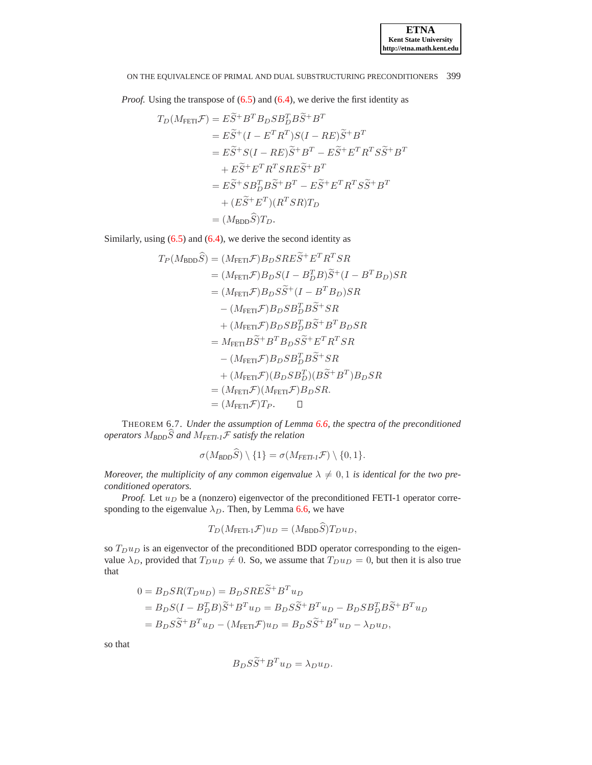*Proof.* Using the transpose of [\(6.5\)](#page-14-1) and [\(6.4\)](#page-14-0), we derive the first identity as

$$
T_D(M_{\text{FETI}}\mathcal{F}) = E\widetilde{S}^+B^T B_D S B_D^T B \widetilde{S}^+ B^T
$$
  
\n
$$
= E\widetilde{S}^+(I - E^T R^T) S(I - RE)\widetilde{S}^+ B^T
$$
  
\n
$$
= E\widetilde{S}^+ S(I - RE)\widetilde{S}^+ B^T - E\widetilde{S}^+ E^T R^T S \widetilde{S}^+ B^T
$$
  
\n
$$
+ E\widetilde{S}^+ E^T R^T S R E \widetilde{S}^+ B^T
$$
  
\n
$$
= E\widetilde{S}^+ S B_D^T B \widetilde{S}^+ B^T - E\widetilde{S}^+ E^T R^T S \widetilde{S}^+ B^T
$$
  
\n
$$
+ (E\widetilde{S}^+ E^T)(R^T S R) T_D
$$
  
\n
$$
= (M_{\text{BDD}} \widehat{S}) T_D.
$$

Similarly, using [\(6.5\)](#page-14-1) and [\(6.4\)](#page-14-0), we derive the second identity as

$$
T_P(M_{\text{BDD}}\hat{S}) = (M_{\text{FETI}}\mathcal{F})B_D SRE\tilde{S}^+E^T R^T S R
$$
  
\n
$$
= (M_{\text{FETI}}\mathcal{F})B_D S (I - B_D^T B)\tilde{S}^+ (I - B^T B_D) S R
$$
  
\n
$$
= (M_{\text{FETI}}\mathcal{F})B_D S\tilde{S}^+ (I - B^T B_D) S R
$$
  
\n
$$
- (M_{\text{FETI}}\mathcal{F})B_D S B_D^T B \tilde{S}^+ S R
$$
  
\n
$$
+ (M_{\text{FETI}}\mathcal{F})B_D S B_D^T B \tilde{S}^+ B^T B_D S R
$$
  
\n
$$
= M_{\text{FETI}}B\tilde{S}^+ B^T B_D S \tilde{S}^+ E^T R^T S R
$$
  
\n
$$
+ (M_{\text{FETI}}\mathcal{F})B_D S B_D^T B \tilde{S}^+ S R
$$
  
\n
$$
= (M_{\text{FETI}}\mathcal{F})(M_{\text{FETI}}\mathcal{F})B_D S R
$$
  
\n
$$
= (M_{\text{FETI}}\mathcal{F})T_P.
$$

THEOREM 6.7. *Under the assumption of Lemma [6.6,](#page-14-2) the spectra of the preconditioned operators*  $M_{BDD}\widehat{S}$  *and*  $M_{FETI-1}\mathcal{F}$  *satisfy the relation* 

$$
\sigma(M_{\text{BDD}}\widehat{S})\setminus\{1\}=\sigma(M_{\text{FETI-1}}\mathcal{F})\setminus\{0,1\}.
$$

*Moreover, the multiplicity of any common eigenvalue*  $\lambda \neq 0, 1$  *is identical for the two preconditioned operators.*

*Proof.* Let  $u_D$  be a (nonzero) eigenvector of the preconditioned FETI-1 operator corresponding to the eigenvalue  $\lambda_D$ . Then, by Lemma [6.6,](#page-14-2) we have

$$
T_D(M_{\text{FETI-1}}\mathcal{F})u_D = (M_{\text{BDD}}S)T_D u_D,
$$

so  $T_D u_D$  is an eigenvector of the preconditioned BDD operator corresponding to the eigenvalue  $\lambda_D$ , provided that  $T_D u_D \neq 0$ . So, we assume that  $T_D u_D = 0$ , but then it is also true that

$$
0 = B_D SR(T_D u_D) = B_D S R E \widetilde{S}^+ B^T u_D
$$
  
=  $B_D S (I - B_D^T B) \widetilde{S}^+ B^T u_D = B_D S \widetilde{S}^+ B^T u_D - B_D S B_D^T B \widetilde{S}^+ B^T u_D$   
=  $B_D S \widetilde{S}^+ B^T u_D - (M_{\text{FETI}} \mathcal{F}) u_D = B_D S \widetilde{S}^+ B^T u_D - \lambda_D u_D,$ 

so that

$$
B_D S \tilde{S}^+ B^T u_D = \lambda_D u_D.
$$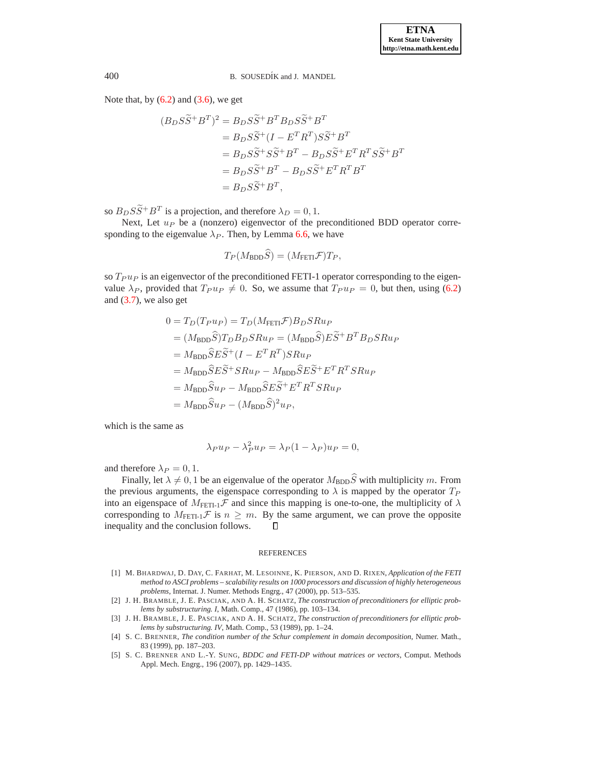Note that, by  $(6.2)$  and  $(3.6)$ , we get

$$
(B_D S \widetilde{S}^+ B^T)^2 = B_D S \widetilde{S}^+ B^T B_D S \widetilde{S}^+ B^T
$$
  
=  $B_D S \widetilde{S}^+ (I - E^T R^T) S \widetilde{S}^+ B^T$   
=  $B_D S \widetilde{S}^+ S \widetilde{S}^+ B^T - B_D S \widetilde{S}^+ E^T R^T S \widetilde{S}^+ B^T$   
=  $B_D S \widetilde{S}^+ B^T - B_D S \widetilde{S}^+ E^T R^T B^T$   
=  $B_D S \widetilde{S}^+ B^T$ ,

so  $B_D S \tilde{S}^+ B^T$  is a projection, and therefore  $\lambda_D = 0, 1$ .

Next, Let  $u_P$  be a (nonzero) eigenvector of the preconditioned BDD operator corresponding to the eigenvalue  $\lambda_P$ . Then, by Lemma [6.6,](#page-14-2) we have

$$
T_P(M_{\text{BDD}}\tilde{S}) = (M_{\text{FETI}}\mathcal{F})T_P,
$$

so  $T_{P} u_{P}$  is an eigenvector of the preconditioned FETI-1 operator corresponding to the eigenvalue  $\lambda_P$ , provided that  $T_P u_P \neq 0$ . So, we assume that  $T_P u_P = 0$ , but then, using [\(6.2\)](#page-13-2) and  $(3.7)$ , we also get

$$
0 = T_D(T_{P}u_P) = T_D(M_{\text{FETI}}\mathcal{F})B_DSRu_P
$$
  
=  $(M_{\text{BDD}}\hat{S})T_DB_DSRu_P = (M_{\text{BDD}}\hat{S})E\tilde{S}^+B^TB_DSRu_P$   
=  $M_{\text{BDD}}\hat{S}E\tilde{S}^+(I - E^TR^T)SRu_P$   
=  $M_{\text{BDD}}\hat{S}E\tilde{S}^+SRu_P - M_{\text{BDD}}\hat{S}E\tilde{S}^+E^TR^TSRu_P$   
=  $M_{\text{BDD}}\hat{S}u_P - M_{\text{BDD}}\hat{S}E\tilde{S}^+E^TR^TSRu_P$   
=  $M_{\text{BDD}}\hat{S}u_P - (M_{\text{BDD}}\hat{S})^2u_P$ ,

which is the same as

$$
\lambda_P u_P - \lambda_P^2 u_P = \lambda_P (1 - \lambda_P) u_P = 0,
$$

and therefore  $\lambda_P = 0, 1$ .

Finally, let  $\lambda \neq 0, 1$  be an eigenvalue of the operator  $M_{\rm BDD} \widehat{S}$  with multiplicity m. From the previous arguments, the eigenspace corresponding to  $\lambda$  is mapped by the operator  $T_P$ into an eigenspace of  $M_{\text{FETI-1}}\mathcal{F}$  and since this mapping is one-to-one, the multiplicity of  $\lambda$ corresponding to  $M_{\text{FETI-1}}\mathcal{F}$  is  $n \geq m$ . By the same argument, we can prove the opposite inequality and the conclusion follows.  $\Box$ 

#### REFERENCES

- <span id="page-16-0"></span>[1] M. BHARDWAJ, D. DAY, C. FARHAT, M. LESOINNE, K. PIERSON, AND D. RIXEN, *Application of the FETI method to ASCI problems – scalability results on 1000 processors and discussion of highly heterogeneous problems*, Internat. J. Numer. Methods Engrg., 47 (2000), pp. 513–535.
- <span id="page-16-2"></span>[2] J. H. BRAMBLE, J. E. PASCIAK, AND A. H. SCHATZ, *The construction of preconditioners for elliptic problems by substructuring. I*, Math. Comp., 47 (1986), pp. 103–134.
- <span id="page-16-3"></span>[3] J. H. BRAMBLE, J. E. PASCIAK, AND A. H. SCHATZ, *The construction of preconditioners for elliptic problems by substructuring. IV*, Math. Comp., 53 (1989), pp. 1–24.
- <span id="page-16-1"></span>[4] S. C. BRENNER, *The condition number of the Schur complement in domain decomposition*, Numer. Math., 83 (1999), pp. 187–203.
- <span id="page-16-4"></span>[5] S. C. BRENNER AND L.-Y. SUNG, *BDDC and FETI-DP without matrices or vectors*, Comput. Methods Appl. Mech. Engrg., 196 (2007), pp. 1429–1435.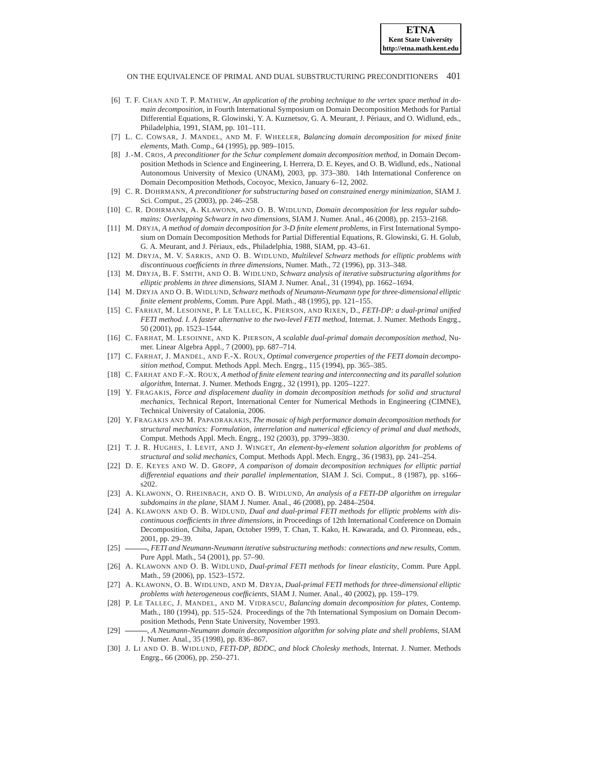- <span id="page-17-4"></span>[6] T. F. CHAN AND T. P. MATHEW, *An application of the probing technique to the vertex space method in domain decomposition*, in Fourth International Symposium on Domain Decomposition Methods for Partial Differential Equations, R. Glowinski, Y. A. Kuznetsov, G. A. Meurant, J. Periaux, and O. Widlund, eds., ´ Philadelphia, 1991, SIAM, pp. 101–111.
- <span id="page-17-14"></span><span id="page-17-1"></span>[7] L. C. COWSAR, J. MANDEL, AND M. F. WHEELER, *Balancing domain decomposition for mixed finite elements*, Math. Comp., 64 (1995), pp. 989–1015.
- [8] J.-M. CROS, *A preconditioner for the Schur complement domain decomposition method*, in Domain Decomposition Methods in Science and Engineering, I. Herrera, D. E. Keyes, and O. B. Widlund, eds., National Autonomous University of Mexico (UNAM), 2003, pp. 373–380. 14th International Conference on Domain Decomposition Methods, Cocoyoc, Mexico, January 6–12, 2002.
- <span id="page-17-20"></span>[9] C. R. DOHRMANN, *A preconditioner for substructuring based on constrained energy minimization*, SIAM J. Sci. Comput., 25 (2003), pp. 246–258.
- <span id="page-17-10"></span>[10] C. R. DOHRMANN, A. KLAWONN, AND O. B. WIDLUND, *Domain decomposition for less regular subdomains: Overlapping Schwarz in two dimensions*, SIAM J. Numer. Anal., 46 (2008), pp. 2153–2168.
- <span id="page-17-7"></span>[11] M. DRYJA, *A method of domain decomposition for 3-D finite element problems*, in First International Symposium on Domain Decomposition Methods for Partial Differential Equations, R. Glowinski, G. H. Golub, G. A. Meurant, and J. Périaux, eds., Philadelphia, 1988, SIAM, pp. 43–61.
- <span id="page-17-22"></span>[12] M. DRYJA, M. V. SARKIS, AND O. B. WIDLUND, *Multilevel Schwarz methods for elliptic problems with discontinuous coefficients in three dimensions*, Numer. Math., 72 (1996), pp. 313–348.
- <span id="page-17-8"></span>[13] M. DRYJA, B. F. SMITH, AND O. B. WIDLUND, *Schwarz analysis of iterative substructuring algorithms for elliptic problems in three dimensions*, SIAM J. Numer. Anal., 31 (1994), pp. 1662–1694.
- <span id="page-17-9"></span>[14] M. DRYJA AND O. B. WIDLUND, *Schwarz methods of Neumann-Neumann type for three-dimensional elliptic finite element problems*, Comm. Pure Appl. Math., 48 (1995), pp. 121–155.
- <span id="page-17-17"></span>[15] C. FARHAT, M. LESOINNE, P. LE TALLEC, K. PIERSON, AND RIXEN, D., *FETI-DP: a dual-primal unified FETI method. I. A faster alternative to the two-level FETI method*, Internat. J. Numer. Methods Engrg., 50 (2001), pp. 1523–1544.
- <span id="page-17-19"></span>[16] C. FARHAT, M. LESOINNE, AND K. PIERSON, *A scalable dual-primal domain decomposition method*, Numer. Linear Algebra Appl., 7 (2000), pp. 687–714.
- <span id="page-17-6"></span>[17] C. FARHAT, J. MANDEL, AND F.-X. ROUX, *Optimal convergence properties of the FETI domain decomposition method*, Comput. Methods Appl. Mech. Engrg., 115 (1994), pp. 365–385.
- <span id="page-17-5"></span>[18] C. FARHAT AND F.-X. ROUX, *A method of finite element tearing and interconnecting and its parallel solution algorithm*, Internat. J. Numer. Methods Engrg., 32 (1991), pp. 1205–1227.
- <span id="page-17-2"></span>[19] Y. FRAGAKIS, *Force and displacement duality in domain decomposition methods for solid and structural mechanics*, Technical Report, International Center for Numerical Methods in Engineering (CIMNE), Technical University of Catalonia, 2006.
- <span id="page-17-0"></span>[20] Y. FRAGAKIS AND M. PAPADRAKAKIS, *The mosaic of high performance domain decomposition methods for structural mechanics: Formulation, interrelation and numerical efficiency of primal and dual methods*, Comput. Methods Appl. Mech. Engrg., 192 (2003), pp. 3799–3830.
- <span id="page-17-12"></span>[21] T. J. R. HUGHES, I. LEVIT, AND J. WINGET, *An element-by-element solution algorithm for problems of structural and solid mechanics*, Comput. Methods Appl. Mech. Engrg., 36 (1983), pp. 241–254.
- <span id="page-17-3"></span>[22] D. E. KEYES AND W. D. GROPP, *A comparison of domain decomposition techniques for elliptic partial differential equations and their parallel implementation*, SIAM J. Sci. Comput., 8 (1987), pp. s166– s202.
- <span id="page-17-11"></span>[23] A. KLAWONN, O. RHEINBACH, AND O. B. WIDLUND, *An analysis of a FETI-DP algorithm on irregular subdomains in the plane*, SIAM J. Numer. Anal., 46 (2008), pp. 2484–2504.
- <span id="page-17-24"></span>[24] A. KLAWONN AND O. B. WIDLUND, *Dual and dual-primal FETI methods for elliptic problems with discontinuous coefficients in three dimensions*, in Proceedings of 12th International Conference on Domain Decomposition, Chiba, Japan, October 1999, T. Chan, T. Kako, H. Kawarada, and O. Pironneau, eds., 2001, pp. 29–39.
- <span id="page-17-13"></span>[25] , *FETI and Neumann-Neumann iterative substructuring methods: connections and new results*, Comm. Pure Appl. Math., 54 (2001), pp. 57–90.
- <span id="page-17-23"></span>[26] A. KLAWONN AND O. B. WIDLUND, *Dual-primal FETI methods for linear elasticity*, Comm. Pure Appl. Math., 59 (2006), pp. 1523–1572.
- <span id="page-17-18"></span>[27] A. KLAWONN, O. B. WIDLUND, AND M. DRYJA, *Dual-primal FETI methods for three-dimensional elliptic problems with heterogeneous coefficients*, SIAM J. Numer. Anal., 40 (2002), pp. 159–179.
- <span id="page-17-15"></span>[28] P. LE TALLEC, J. MANDEL, AND M. VIDRASCU, *Balancing domain decomposition for plates*, Contemp. Math., 180 (1994), pp. 515–524. Proceedings of the 7th International Symposium on Domain Decomposition Methods, Penn State University, November 1993.
- <span id="page-17-16"></span>[29] , *A Neumann-Neumann domain decomposition algorithm for solving plate and shell problems*, SIAM J. Numer. Anal., 35 (1998), pp. 836–867.
- <span id="page-17-21"></span>[30] J. LI AND O. B. WIDLUND, *FETI-DP, BDDC, and block Cholesky methods*, Internat. J. Numer. Methods Engrg., 66 (2006), pp. 250–271.